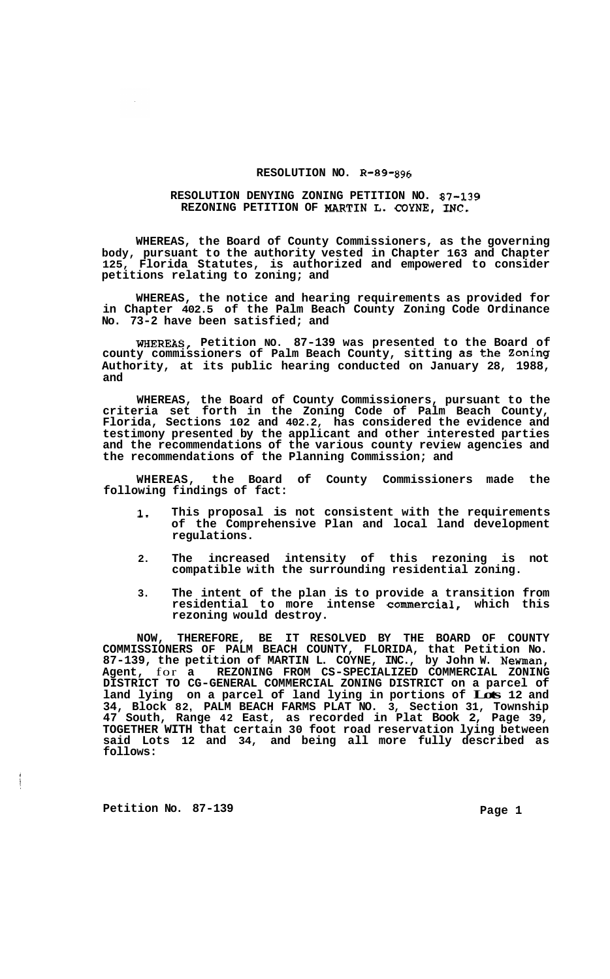## **RESOLUTION NO. R-89-896**

## **RESOLUTION DENYING ZONING PETITION NO. 87-139 REZONING PETITION OF MARTIN L. COYNE, INC.**

**WHEREAS, the Board of County Commissioners, as the governing body, pursuant to the authority vested in Chapter 163 and Chapter 125, Florida Statutes, is authorized and empowered to consider petitions relating to zoning; and** 

**WHEREAS, the notice and hearing requirements as provided for in Chapter 402.5 of the Palm Beach County Zoning Code Ordinance No. 73-2 have been satisfied; and** 

**WHEREAS, Petition NO. 87-139 was presented to the Board of county commissioners of Palm Beach County, sitting as the Zoning Authority, at its public hearing conducted on January 28, 1988, and** 

**WHEREAS, the Board of County Commissioners, pursuant to the criteria set forth in the Zoning Code of Palm Beach County, Florida, Sections 102 and 402.2, has considered the evidence and testimony presented by the applicant and other interested parties and the recommendations of the various county review agencies and the recommendations of the Planning Commission; and** 

Board of County Commissioners made the **following findings of fact:** 

- **1. This proposal is not consistent with the requirements of the Comprehensive Plan and local land development regulations.**
- **2. The increased intensity of this rezoning is not compatible with the surrounding residential zoning.**
- **3. The intent of the plan is to provide a transition from residential to more intense commercial, which this rezoning would destroy.**

**NOW, THEREFORE, BE IT RESOLVED BY THE BOARD OF COUNTY COMMISSIONERS OF PALM BEACH COUNTY, FLORIDA, that Petition No. 87-139, the petition of MARTIN L. COYNE, INC., by John W. Newman, Agent,** for **a REZONING FROM CS-SPECIALIZED COMMERCIAL ZONING**  Agent, for a REZONING FROM CS-SPECIALIZED COMMERCIAL ZONING<br>DISTRICT TO CG-GENERAL COMMERCIAL ZONING DISTRICT on a parcel of **land lying on a parcel of land lying in portions of Lots 12 and 34, Block 82, PALM BEACH FARMS PLAT NO. 3, Section 31, Township 47 South, Range 42 East, as recorded in Plat Book 2, Page 39, TOGETHER WITH that certain 30 foot road reservation lying between said Lots 12 and 34, and being all more fully described as follows:** 

**Petition No. 87-139 Page 1** 

فالمستحد